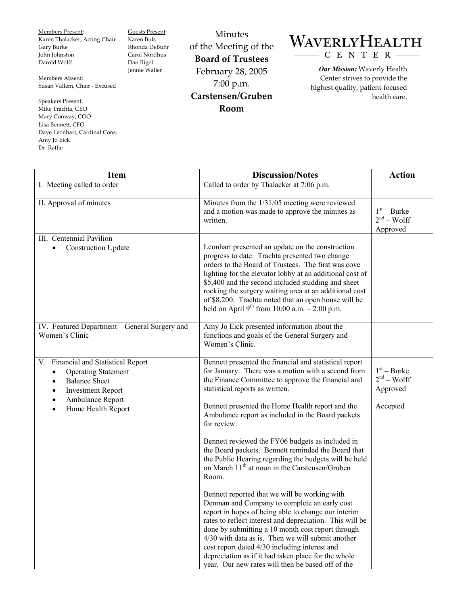Members Present: Karen Thalacker, Acting Chair Gary Burke John Johnston Darold Wolff

Guests Present: Karen Buls Rhonda DeBuhr Carol Nordhus Dan Rigel Jennie Waller

Members Absent: Susan Vallem, Chair - Excused

Speakers Present: Mike Trachta, CEO Mary Conway, COO Lisa Bennett, CFO Dave Leonhart, Cardinal Cons. Amy Jo Eick Dr. Rathe

Minutes of the Meeting of the **Board of Trustees**  February 28, 2005 7:00 p.m. **Carstensen/Gruben Room** 

## WAVERLYHEALTH - C E N T E R

*Our Mission:* Waverly Health Center strives to provide the highest quality, patient-focused health care.

| <b>Item</b>                                                                                                                                                     | <b>Discussion/Notes</b>                                                                                                                                                                                                                                                                                                                                                                                                                                                                                                                                                                                                 | <b>Action</b>                                         |
|-----------------------------------------------------------------------------------------------------------------------------------------------------------------|-------------------------------------------------------------------------------------------------------------------------------------------------------------------------------------------------------------------------------------------------------------------------------------------------------------------------------------------------------------------------------------------------------------------------------------------------------------------------------------------------------------------------------------------------------------------------------------------------------------------------|-------------------------------------------------------|
| I. Meeting called to order                                                                                                                                      | Called to order by Thalacker at 7:06 p.m.                                                                                                                                                                                                                                                                                                                                                                                                                                                                                                                                                                               |                                                       |
| II. Approval of minutes                                                                                                                                         | Minutes from the 1/31/05 meeting were reviewed<br>and a motion was made to approve the minutes as<br>written.                                                                                                                                                                                                                                                                                                                                                                                                                                                                                                           | $1st - Burke$<br>$2nd - Wolf$<br>Approved             |
| III. Centennial Pavilion<br><b>Construction Update</b>                                                                                                          | Leonhart presented an update on the construction<br>progress to date. Trachta presented two change<br>orders to the Board of Trustees. The first was cove<br>lighting for the elevator lobby at an additional cost of<br>\$5,400 and the second included studding and sheet<br>rocking the surgery waiting area at an additional cost<br>of \$8,200. Trachta noted that an open house will be<br>held on April 9 <sup>th</sup> from 10:00 a.m. $- 2:00$ p.m.                                                                                                                                                            |                                                       |
| IV. Featured Department - General Surgery and<br>Women's Clinic                                                                                                 | Amy Jo Eick presented information about the<br>functions and goals of the General Surgery and<br>Women's Clinic.                                                                                                                                                                                                                                                                                                                                                                                                                                                                                                        |                                                       |
| V. Financial and Statistical Report<br><b>Operating Statement</b><br><b>Balance Sheet</b><br><b>Investment Report</b><br>Ambulance Report<br>Home Health Report | Bennett presented the financial and statistical report<br>for January. There was a motion with a second from<br>the Finance Committee to approve the financial and<br>statistical reports as written.<br>Bennett presented the Home Health report and the<br>Ambulance report as included in the Board packets<br>for review.<br>Bennett reviewed the FY06 budgets as included in<br>the Board packets. Bennett reminded the Board that                                                                                                                                                                                 | $1st - Burke$<br>$2nd - Wolf$<br>Approved<br>Accepted |
|                                                                                                                                                                 | the Public Hearing regarding the budgets will be held<br>on March 11 <sup>th</sup> at noon in the Carstensen/Gruben<br>Room.<br>Bennett reported that we will be working with<br>Denman and Company to complete an early cost<br>report in hopes of being able to change our interim<br>rates to reflect interest and depreciation. This will be<br>done by submitting a 10 month cost report through<br>4/30 with data as is. Then we will submit another<br>cost report dated 4/30 including interest and<br>depreciation as if it had taken place for the whole<br>year. Our new rates will then be based off of the |                                                       |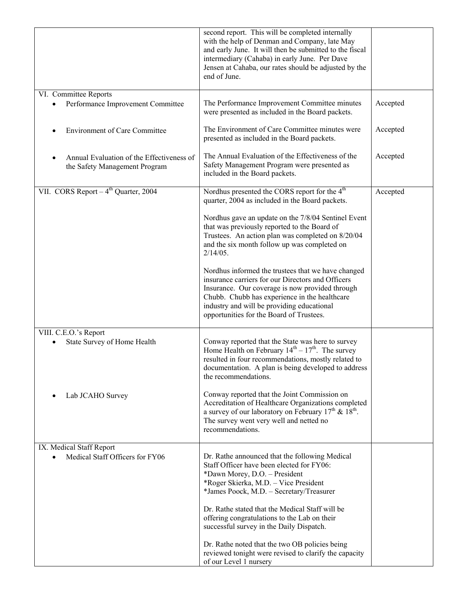|                                                                            | second report. This will be completed internally<br>with the help of Denman and Company, late May<br>and early June. It will then be submitted to the fiscal<br>intermediary (Cahaba) in early June. Per Dave<br>Jensen at Cahaba, our rates should be adjusted by the<br>end of June.                |          |
|----------------------------------------------------------------------------|-------------------------------------------------------------------------------------------------------------------------------------------------------------------------------------------------------------------------------------------------------------------------------------------------------|----------|
| VI. Committee Reports<br>Performance Improvement Committee                 | The Performance Improvement Committee minutes<br>were presented as included in the Board packets.                                                                                                                                                                                                     | Accepted |
| <b>Environment of Care Committee</b>                                       | The Environment of Care Committee minutes were<br>presented as included in the Board packets.                                                                                                                                                                                                         | Accepted |
| Annual Evaluation of the Effectiveness of<br>the Safety Management Program | The Annual Evaluation of the Effectiveness of the<br>Safety Management Program were presented as<br>included in the Board packets.                                                                                                                                                                    | Accepted |
| VII. CORS Report $-4^{th}$ Quarter, 2004                                   | Nordhus presented the CORS report for the 4 <sup>th</sup><br>quarter, 2004 as included in the Board packets.                                                                                                                                                                                          | Accepted |
|                                                                            | Nordhus gave an update on the 7/8/04 Sentinel Event<br>that was previously reported to the Board of<br>Trustees. An action plan was completed on 8/20/04<br>and the six month follow up was completed on<br>$2/14/05$ .                                                                               |          |
|                                                                            | Nordhus informed the trustees that we have changed<br>insurance carriers for our Directors and Officers<br>Insurance. Our coverage is now provided through<br>Chubb. Chubb has experience in the healthcare<br>industry and will be providing educational<br>opportunities for the Board of Trustees. |          |
| VIII. C.E.O.'s Report<br>State Survey of Home Health                       | Conway reported that the State was here to survey<br>Home Health on February $14^{th} - 17^{th}$ . The survey<br>resulted in four recommendations, mostly related to<br>documentation. A plan is being developed to address<br>the recommendations.                                                   |          |
| Lab JCAHO Survey                                                           | Conway reported that the Joint Commission on<br>Accreditation of Healthcare Organizations completed<br>a survey of our laboratory on February $17^{th}$ & $18^{th}$ .<br>The survey went very well and netted no<br>recommendations.                                                                  |          |
| IX. Medical Staff Report<br>Medical Staff Officers for FY06                | Dr. Rathe announced that the following Medical<br>Staff Officer have been elected for FY06:<br>*Dawn Morey, D.O. - President<br>*Roger Skierka, M.D. - Vice President<br>*James Poock, M.D. - Secretary/Treasurer                                                                                     |          |
|                                                                            | Dr. Rathe stated that the Medical Staff will be<br>offering congratulations to the Lab on their<br>successful survey in the Daily Dispatch.                                                                                                                                                           |          |
|                                                                            | Dr. Rathe noted that the two OB policies being<br>reviewed tonight were revised to clarify the capacity<br>of our Level 1 nursery                                                                                                                                                                     |          |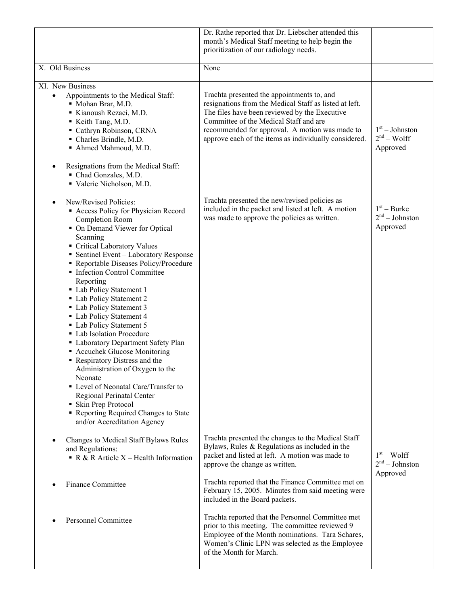|                                                                                                                                                                                                                                                                                                                                                                                                                                                                                                                                                                                                                                                                                                                                                                                                   | Dr. Rathe reported that Dr. Liebscher attended this<br>month's Medical Staff meeting to help begin the<br>prioritization of our radiology needs.                                                                                                                                                           |                                               |
|---------------------------------------------------------------------------------------------------------------------------------------------------------------------------------------------------------------------------------------------------------------------------------------------------------------------------------------------------------------------------------------------------------------------------------------------------------------------------------------------------------------------------------------------------------------------------------------------------------------------------------------------------------------------------------------------------------------------------------------------------------------------------------------------------|------------------------------------------------------------------------------------------------------------------------------------------------------------------------------------------------------------------------------------------------------------------------------------------------------------|-----------------------------------------------|
| X. Old Business                                                                                                                                                                                                                                                                                                                                                                                                                                                                                                                                                                                                                                                                                                                                                                                   | None                                                                                                                                                                                                                                                                                                       |                                               |
| XI. New Business<br>Appointments to the Medical Staff:<br>$\bullet$<br>Mohan Brar, M.D.<br>Kianoush Rezaei, M.D.<br>Keith Tang, M.D.<br>Cathryn Robinson, CRNA<br>• Charles Brindle, M.D.<br>Ahmed Mahmoud, M.D.<br>Resignations from the Medical Staff:<br>Chad Gonzales, M.D.<br>Valerie Nicholson, M.D.                                                                                                                                                                                                                                                                                                                                                                                                                                                                                        | Trachta presented the appointments to, and<br>resignations from the Medical Staff as listed at left.<br>The files have been reviewed by the Executive<br>Committee of the Medical Staff and are<br>recommended for approval. A motion was made to<br>approve each of the items as individually considered. | $1st - Johnston$<br>$2nd - Wolf$<br>Approved  |
| New/Revised Policies:<br>Access Policy for Physician Record<br><b>Completion Room</b><br>• On Demand Viewer for Optical<br>Scanning<br>Critical Laboratory Values<br>• Sentinel Event - Laboratory Response<br>Reportable Diseases Policy/Procedure<br>Infection Control Committee<br>Reporting<br>• Lab Policy Statement 1<br>• Lab Policy Statement 2<br>• Lab Policy Statement 3<br>• Lab Policy Statement 4<br>• Lab Policy Statement 5<br>• Lab Isolation Procedure<br>• Laboratory Department Safety Plan<br>• Accuchek Glucose Monitoring<br>Respiratory Distress and the<br>Administration of Oxygen to the<br>Neonate<br>• Level of Neonatal Care/Transfer to<br>Regional Perinatal Center<br>• Skin Prep Protocol<br>Reporting Required Changes to State<br>and/or Accreditation Agency | Trachta presented the new/revised policies as<br>included in the packet and listed at left. A motion<br>was made to approve the policies as written.                                                                                                                                                       | $1st - Burke$<br>$2nd - Johnston$<br>Approved |
| Changes to Medical Staff Bylaws Rules<br>and Regulations:<br>R & R Article $X$ – Health Information                                                                                                                                                                                                                                                                                                                                                                                                                                                                                                                                                                                                                                                                                               | Trachta presented the changes to the Medical Staff<br>Bylaws, Rules & Regulations as included in the<br>packet and listed at left. A motion was made to<br>approve the change as written.                                                                                                                  | $1st - Wolf$<br>$2nd - Johnston$<br>Approved  |
| <b>Finance Committee</b>                                                                                                                                                                                                                                                                                                                                                                                                                                                                                                                                                                                                                                                                                                                                                                          | Trachta reported that the Finance Committee met on<br>February 15, 2005. Minutes from said meeting were<br>included in the Board packets.                                                                                                                                                                  |                                               |
| <b>Personnel Committee</b>                                                                                                                                                                                                                                                                                                                                                                                                                                                                                                                                                                                                                                                                                                                                                                        | Trachta reported that the Personnel Committee met<br>prior to this meeting. The committee reviewed 9<br>Employee of the Month nominations. Tara Schares,<br>Women's Clinic LPN was selected as the Employee<br>of the Month for March.                                                                     |                                               |